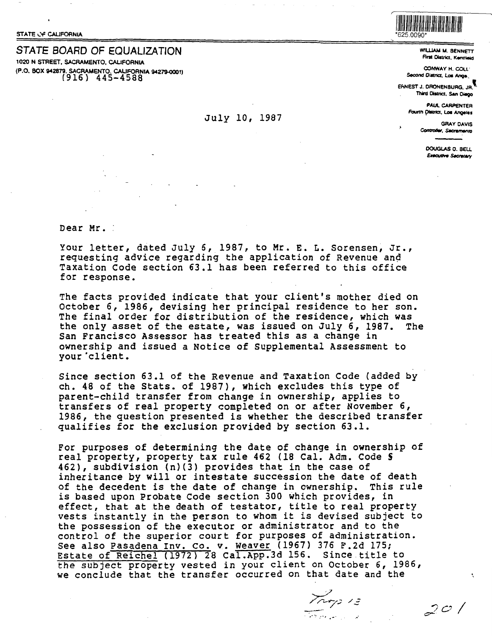STATE OF CALIFORNIA

## STATE BOARD OF EQUALIZATION

1020 N STREET, SACRAMENTO, CALIFORNIA (P.O. BOX 942879, SACRAMENTO, CALIFORNIA 94279-0001)  $(916)$  445-4588

## July 10, 1987

625,0090

WILLIAM M. BENNETT **First District Kentiaus** 

CONWAY H. COLL' Second District, Los Ange

ERNEST J. DRONENBURG. JR. Third District, San Diego

> **PAUL CARPENTER** Fourth District, Los Angeles

**GRAY DAVIS** Controller, Sacramento

> DOUGLAS D. BELL **Executive Secretary**

 $20/$ 

Dear Mr.

Your letter, dated July 6, 1987, to Mr. E. L. Sorensen, Jr., requesting advice regarding the application of Revenue and Taxation Code section 63.1 has been referred to this office for response.

The facts provided indicate that your client's mother died on October 6, 1986, devising her principal residence to her son. The final order for distribution of the residence, which was the only asset of the estate, was issued on July 6, 1987. The San Francisco Assessor has treated this as a change in ownership and issued a Notice of Supplemental Assessment to your 'client.

Since section 63.1 of the Revenue and Taxation Code (added by ch. 48 of the Stats. of 1987), which excludes this type of parent-child transfer from change in ownership, applies to transfers of real property completed on or after November 6, 1986, the question presented is whether the described transfer qualifies for the exclusion provided by section 63.1.

For purposes of determining the date of change in ownership of real property, property tax rule 462 (18 Cal. Adm. Code § 462), subdivision (n)(3) provides that in the case of inheritance by will or intestate succession the date of death of the decedent is the date of change in ownership. This rule is based upon Probate Code section 300 which provides, in effect, that at the death of testator, title to real property vests instantly in the person to whom it is devised subject to the possession of the executor or administrator and to the control of the superior court for purposes of administration. See also Pasadena Inv. Co. v. Weaver (1967) 376 F.2d 175; Estate of Reichel (1972) 28 Cal.App.3d 156. Since title to the subject property vested in your client on October 6, 1986, we conclude that the transfer occurred on that date and the

Trop 13 المستخدم المراجعة المستخدمة<br>المستخدم المراجعة المستخدمة